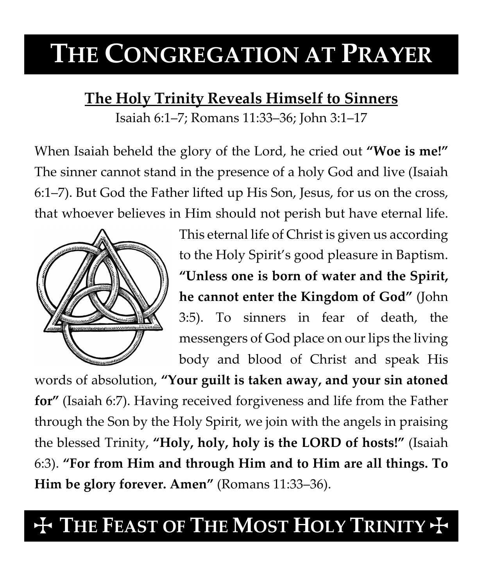# **THE CONGREGATION AT PRAYER**

### **The Holy Trinity Reveals Himself to Sinners**

Isaiah 6:1–7; Romans 11:33–36; John 3:1–17

When Isaiah beheld the glory of the Lord, he cried out **"Woe is me!"** The sinner cannot stand in the presence of a holy God and live (Isaiah 6:1–7). But God the Father lifted up His Son, Jesus, for us on the cross, that whoever believes in Him should not perish but have eternal life.



This eternal life of Christ is given us according to the Holy Spirit's good pleasure in Baptism. **"Unless one is born of water and the Spirit, he cannot enter the Kingdom of God"** (John 3:5). To sinners in fear of death, the messengers of God place on our lips the living body and blood of Christ and speak His

words of absolution, **"Your guilt is taken away, and your sin atoned for"** (Isaiah 6:7). Having received forgiveness and life from the Father through the Son by the Holy Spirit, we join with the angels in praising the blessed Trinity, **"Holy, holy, holy is the LORD of hosts!"** (Isaiah 6:3). **"For from Him and through Him and to Him are all things. To Him be glory forever. Amen"** (Romans 11:33–36).

## **THE FEAST OF THE MOST HOLY TRINITY +**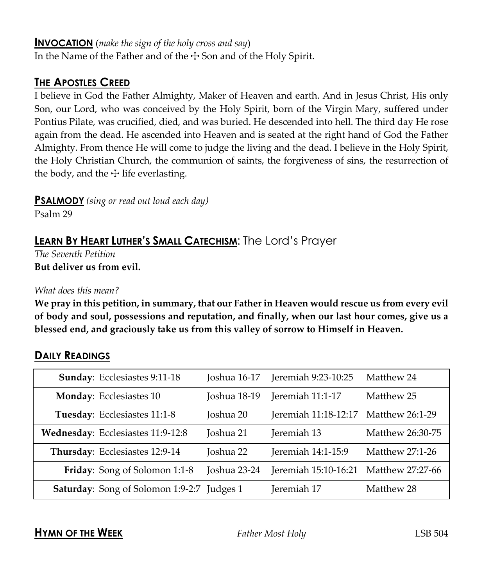#### **INVOCATION** (*make the sign of the holy cross and say*)

In the Name of the Father and of the  $\pm$  Son and of the Holy Spirit.

#### **THE APOSTLES CREED**

I believe in God the Father Almighty, Maker of Heaven and earth. And in Jesus Christ, His only Son, our Lord, who was conceived by the Holy Spirit, born of the Virgin Mary, suffered under Pontius Pilate, was crucified, died, and was buried. He descended into hell. The third day He rose again from the dead. He ascended into Heaven and is seated at the right hand of God the Father Almighty. From thence He will come to judge the living and the dead. I believe in the Holy Spirit, the Holy Christian Church, the communion of saints, the forgiveness of sins, the resurrection of the body, and the  $\pm$  life everlasting.

**PSALMODY** *(sing or read out loud each day)*

Psalm 29

#### **LEARN BY HEART LUTHER'S SMALL CATECHISM**: The Lord's Prayer

*The Seventh Petition* **But deliver us from evil.**

#### *What does this mean?*

**We pray in this petition, in summary, that our Father in Heaven would rescue us from every evil of body and soul, possessions and reputation, and finally, when our last hour comes, give us a blessed end, and graciously take us from this valley of sorrow to Himself in Heaven.**

#### **DAILY READINGS**

| Sunday: Ecclesiastes 9:11-18                      | Joshua 16-17 | Jeremiah 9:23-10:25  | Matthew 24       |
|---------------------------------------------------|--------------|----------------------|------------------|
| Monday: Ecclesiastes 10                           | Joshua 18-19 | Jeremiah 11:1-17     | Matthew 25       |
| Tuesday: Ecclesiastes 11:1-8                      | Joshua 20    | Jeremiah 11:18-12:17 | Matthew 26:1-29  |
| Wednesday: Ecclesiastes 11:9-12:8                 | Joshua 21    | Jeremiah 13          | Matthew 26:30-75 |
| Thursday: Ecclesiastes 12:9-14                    | Joshua 22    | Jeremiah 14:1-15:9   | Matthew 27:1-26  |
| Friday: Song of Solomon 1:1-8                     | Joshua 23-24 | Jeremiah 15:10-16:21 | Matthew 27:27-66 |
| <b>Saturday:</b> Song of Solomon 1:9-2:7 Judges 1 |              | Jeremiah 17          | Matthew 28       |

**HYMN OF THE WEEK** *Father Most Holy* LSB 504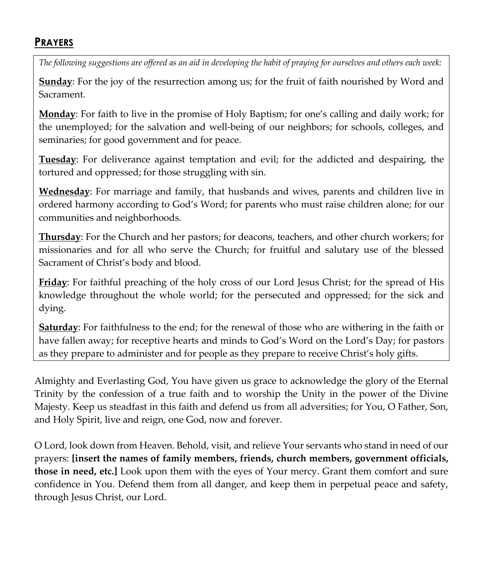#### **PRAYERS**

*The following suggestions are offered as an aid in developing the habit of praying for ourselves and others each week:*

**Sunday**: For the joy of the resurrection among us; for the fruit of faith nourished by Word and Sacrament.

**Monday**: For faith to live in the promise of Holy Baptism; for one's calling and daily work; for the unemployed; for the salvation and well-being of our neighbors; for schools, colleges, and seminaries; for good government and for peace.

**Tuesday**: For deliverance against temptation and evil; for the addicted and despairing, the tortured and oppressed; for those struggling with sin.

**Wednesday**: For marriage and family, that husbands and wives, parents and children live in ordered harmony according to God's Word; for parents who must raise children alone; for our communities and neighborhoods.

**Thursday**: For the Church and her pastors; for deacons, teachers, and other church workers; for missionaries and for all who serve the Church; for fruitful and salutary use of the blessed Sacrament of Christ's body and blood.

**Friday**: For faithful preaching of the holy cross of our Lord Jesus Christ; for the spread of His knowledge throughout the whole world; for the persecuted and oppressed; for the sick and dying.

**Saturday**: For faithfulness to the end; for the renewal of those who are withering in the faith or have fallen away; for receptive hearts and minds to God's Word on the Lord's Day; for pastors as they prepare to administer and for people as they prepare to receive Christ's holy gifts.

Almighty and Everlasting God, You have given us grace to acknowledge the glory of the Eternal Trinity by the confession of a true faith and to worship the Unity in the power of the Divine Majesty. Keep us steadfast in this faith and defend us from all adversities; for You, O Father, Son, and Holy Spirit, live and reign, one God, now and forever.

O Lord, look down from Heaven. Behold, visit, and relieve Your servants who stand in need of our prayers: **[insert the names of family members, friends, church members, government officials, those in need, etc.]** Look upon them with the eyes of Your mercy. Grant them comfort and sure confidence in You. Defend them from all danger, and keep them in perpetual peace and safety, through Jesus Christ, our Lord.